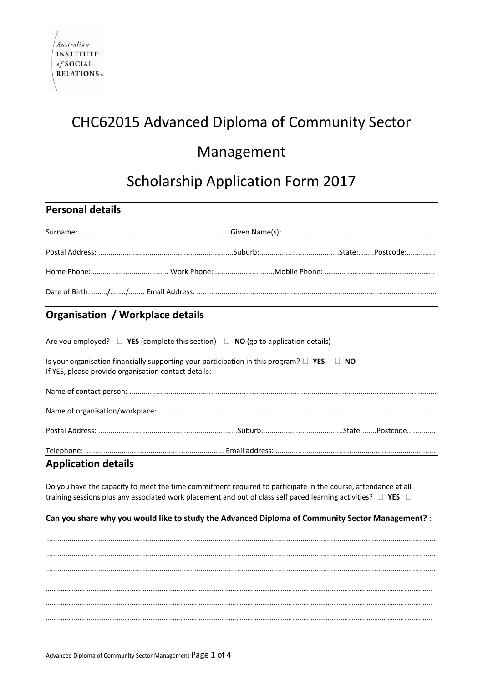# CHC62015 Advanced Diploma of Community Sector

## Management

# Scholarship Application Form 2017

## **Personal details**

## **Organisation / Workplace details**

| Are you employed? $\Box$ YES (complete this section) $\Box$ NO (go to application details)                                                                   |  |  |
|--------------------------------------------------------------------------------------------------------------------------------------------------------------|--|--|
| Is your organisation financially supporting your participation in this program? $\Box$ YES $\Box$ NO<br>If YES, please provide organisation contact details: |  |  |
|                                                                                                                                                              |  |  |
|                                                                                                                                                              |  |  |
|                                                                                                                                                              |  |  |
|                                                                                                                                                              |  |  |

## **Application details**

Do you have the capacity to meet the time commitment required to participate in the course, attendance at all training sessions plus any associated work placement and out of class self paced learning activities?  $\Box$  YES  $\Box$ 

### **Can you share why you would like to study the Advanced Diploma of Community Sector Management?** :

.............................................................................................................................................................................................. .............................................................................................................................................................................................. .............................................................................................................................................................................................. ……………………………………………………………………………………………………………………………………………………………………………………… ……………………………………………………………………………………………………………………………………………………………………………………… ………………………………………………………………………………………………………………………………………………………………………………………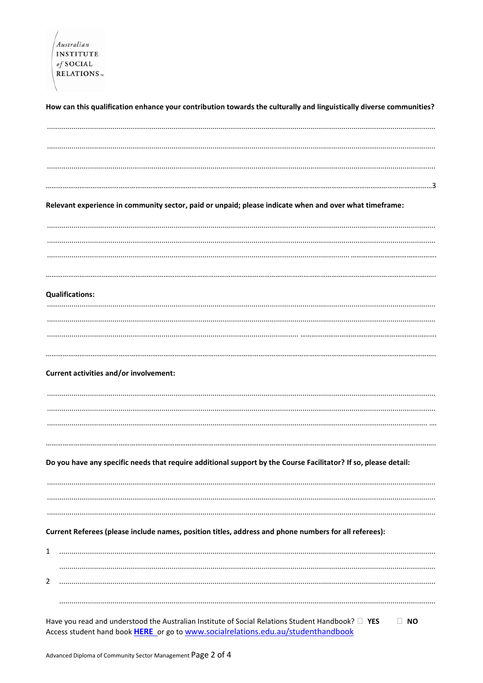| <b>INSTITUTE</b> |  |
|------------------|--|
| of SOCIAL        |  |
| <b>RELATIONS</b> |  |

How can this qualification enhance your contribution towards the culturally and linguistically diverse communities?

Relevant experience in community sector, paid or unpaid; please indicate when and over what timeframe:

#### **Qualifications:**

#### **Current activities and/or involvement:**

Do you have any specific needs that require additional support by the Course Facilitator? If so, please detail:

#### Current Referees (please include names, position titles, address and phone numbers for all referees):

| <u>.</u> |  |
|----------|--|
|          |  |
|          |  |

Have you read and understood the Australian Institute of Social Relations Student Handbook? □ YES  $\Box$  NO Access student hand book HERE or go to www.socialrelations.edu.au/studenthandbook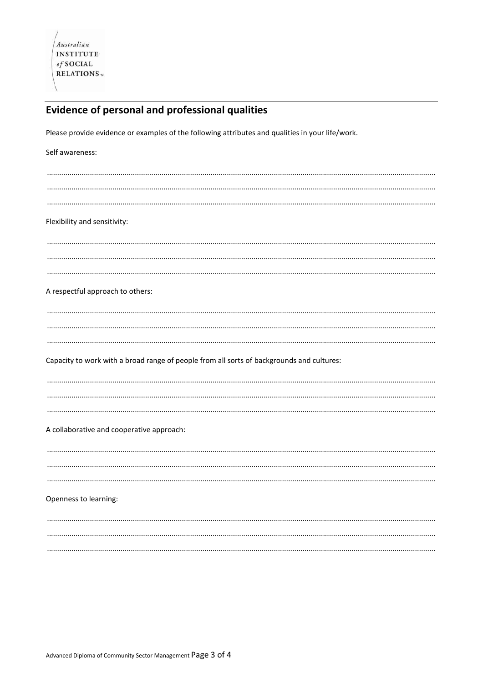## Evidence of personal and professional qualities

Please provide evidence or examples of the following attributes and qualities in your life/work.

| Self awareness:                                                                           |  |
|-------------------------------------------------------------------------------------------|--|
|                                                                                           |  |
|                                                                                           |  |
|                                                                                           |  |
|                                                                                           |  |
| Flexibility and sensitivity:                                                              |  |
|                                                                                           |  |
|                                                                                           |  |
|                                                                                           |  |
|                                                                                           |  |
|                                                                                           |  |
| A respectful approach to others:                                                          |  |
|                                                                                           |  |
|                                                                                           |  |
|                                                                                           |  |
|                                                                                           |  |
|                                                                                           |  |
| Capacity to work with a broad range of people from all sorts of backgrounds and cultures: |  |
|                                                                                           |  |
|                                                                                           |  |
|                                                                                           |  |
|                                                                                           |  |
|                                                                                           |  |
|                                                                                           |  |
| A collaborative and cooperative approach:                                                 |  |
|                                                                                           |  |
|                                                                                           |  |
|                                                                                           |  |
|                                                                                           |  |
| Openness to learning:                                                                     |  |
|                                                                                           |  |
|                                                                                           |  |
|                                                                                           |  |